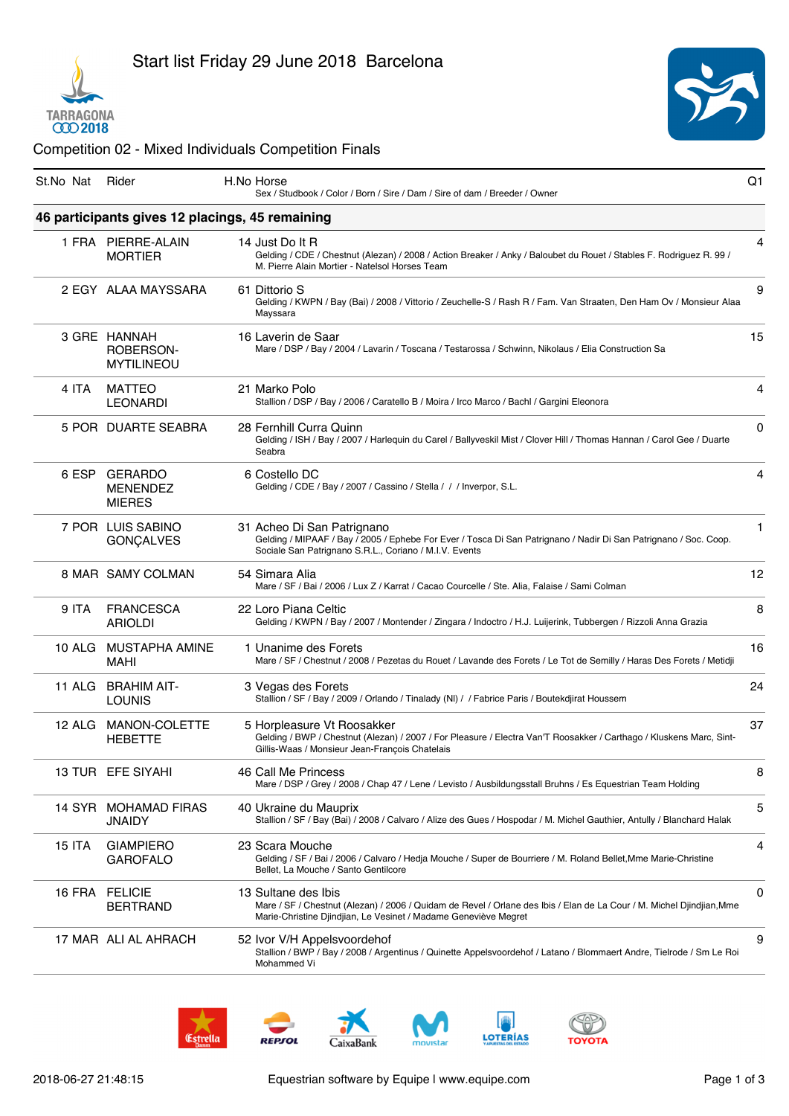



## Competition 02 - Mixed Individuals Competition Finals

| St.No Nat Rider |                                                    | H.No Horse<br>Sex / Studbook / Color / Born / Sire / Dam / Sire of dam / Breeder / Owner                                                                                                                       | Q1 |
|-----------------|----------------------------------------------------|----------------------------------------------------------------------------------------------------------------------------------------------------------------------------------------------------------------|----|
|                 |                                                    | 46 participants gives 12 placings, 45 remaining                                                                                                                                                                |    |
|                 | 1 FRA PIERRE-ALAIN<br><b>MORTIER</b>               | 14 Just Do It R<br>Gelding / CDE / Chestnut (Alezan) / 2008 / Action Breaker / Anky / Baloubet du Rouet / Stables F. Rodriguez R. 99 /<br>M. Pierre Alain Mortier - Natelsol Horses Team                       | 4  |
|                 | 2 EGY ALAA MAYSSARA                                | 61 Dittorio S<br>Gelding / KWPN / Bay (Bai) / 2008 / Vittorio / Zeuchelle-S / Rash R / Fam. Van Straaten, Den Ham Ov / Monsieur Alaa<br>Mayssara                                                               | 9  |
|                 | 3 GRE HANNAH<br>ROBERSON-<br><b>MYTILINEOU</b>     | 16 Laverin de Saar<br>Mare / DSP / Bay / 2004 / Lavarin / Toscana / Testarossa / Schwinn, Nikolaus / Elia Construction Sa                                                                                      | 15 |
| 4 ITA           | <b>MATTEO</b><br><b>LEONARDI</b>                   | 21 Marko Polo<br>Stallion / DSP / Bay / 2006 / Caratello B / Moira / Irco Marco / Bachl / Gargini Eleonora                                                                                                     | 4  |
|                 | 5 POR DUARTE SEABRA                                | 28 Fernhill Curra Quinn<br>Gelding / ISH / Bay / 2007 / Harlequin du Carel / Ballyveskil Mist / Clover Hill / Thomas Hannan / Carol Gee / Duarte<br>Seabra                                                     | 0  |
| 6 ESP           | <b>GERARDO</b><br><b>MENENDEZ</b><br><b>MIERES</b> | 6 Costello DC<br>Gelding / CDE / Bay / 2007 / Cassino / Stella / / / Inverpor, S.L.                                                                                                                            | 4  |
|                 | 7 POR LUIS SABINO<br><b>GONÇALVES</b>              | 31 Acheo Di San Patrignano<br>Gelding / MIPAAF / Bay / 2005 / Ephebe For Ever / Tosca Di San Patrignano / Nadir Di San Patrignano / Soc. Coop.<br>Sociale San Patrignano S.R.L., Coriano / M.I.V. Events       | 1  |
|                 | 8 MAR SAMY COLMAN                                  | 54 Simara Alia<br>Mare / SF / Bai / 2006 / Lux Z / Karrat / Cacao Courcelle / Ste. Alia, Falaise / Sami Colman                                                                                                 | 12 |
| 9 ITA           | <b>FRANCESCA</b><br><b>ARIOLDI</b>                 | 22 Loro Piana Celtic<br>Gelding / KWPN / Bay / 2007 / Montender / Zingara / Indoctro / H.J. Luijerink, Tubbergen / Rizzoli Anna Grazia                                                                         | 8  |
|                 | 10 ALG MUSTAPHA AMINE<br>MAHI                      | 1 Unanime des Forets<br>Mare / SF / Chestnut / 2008 / Pezetas du Rouet / Lavande des Forets / Le Tot de Semilly / Haras Des Forets / Metidji                                                                   | 16 |
|                 | 11 ALG BRAHIM AIT-<br><b>LOUNIS</b>                | 3 Vegas des Forets<br>Stallion / SF / Bay / 2009 / Orlando / Tinalady (NI) / / Fabrice Paris / Boutekdjirat Houssem                                                                                            | 24 |
| 12 ALG          | MANON-COLETTE<br><b>HEBETTE</b>                    | 5 Horpleasure Vt Roosakker<br>Gelding / BWP / Chestnut (Alezan) / 2007 / For Pleasure / Electra Van'T Roosakker / Carthago / Kluskens Marc, Sint-<br>Gillis-Waas / Monsieur Jean-François Chatelais            | 37 |
|                 | 13 TUR EFE SIYAHI                                  | 46 Call Me Princess<br>Mare / DSP / Grey / 2008 / Chap 47 / Lene / Levisto / Ausbildungsstall Bruhns / Es Equestrian Team Holding                                                                              | 8  |
| 14 SYR          | <b>MOHAMAD FIRAS</b><br><b>JNAIDY</b>              | 40 Ukraine du Mauprix<br>Stallion / SF / Bay (Bai) / 2008 / Calvaro / Alize des Gues / Hospodar / M. Michel Gauthier, Antully / Blanchard Halak                                                                | 5  |
| <b>15 ITA</b>   | <b>GIAMPIERO</b><br><b>GAROFALO</b>                | 23 Scara Mouche<br>Gelding / SF / Bai / 2006 / Calvaro / Hedja Mouche / Super de Bourriere / M. Roland Bellet, Mme Marie-Christine<br>Bellet, La Mouche / Santo Gentilcore                                     | 4  |
| 16 FRA          | <b>FELICIE</b><br><b>BERTRAND</b>                  | 13 Sultane des Ibis<br>Mare / SF / Chestnut (Alezan) / 2006 / Quidam de Revel / Orlane des Ibis / Elan de La Cour / M. Michel Djindjian,Mme<br>Marie-Christine Djindjian, Le Vesinet / Madame Geneviève Megret | 0  |
|                 | 17 MAR ALI AL AHRACH                               | 52 Ivor V/H Appelsvoordehof<br>Stallion / BWP / Bay / 2008 / Argentinus / Quinette Appelsvoordehof / Latano / Blommaert Andre, Tielrode / Sm Le Roi<br>Mohammed Vi                                             | 9  |









LOTERÍAS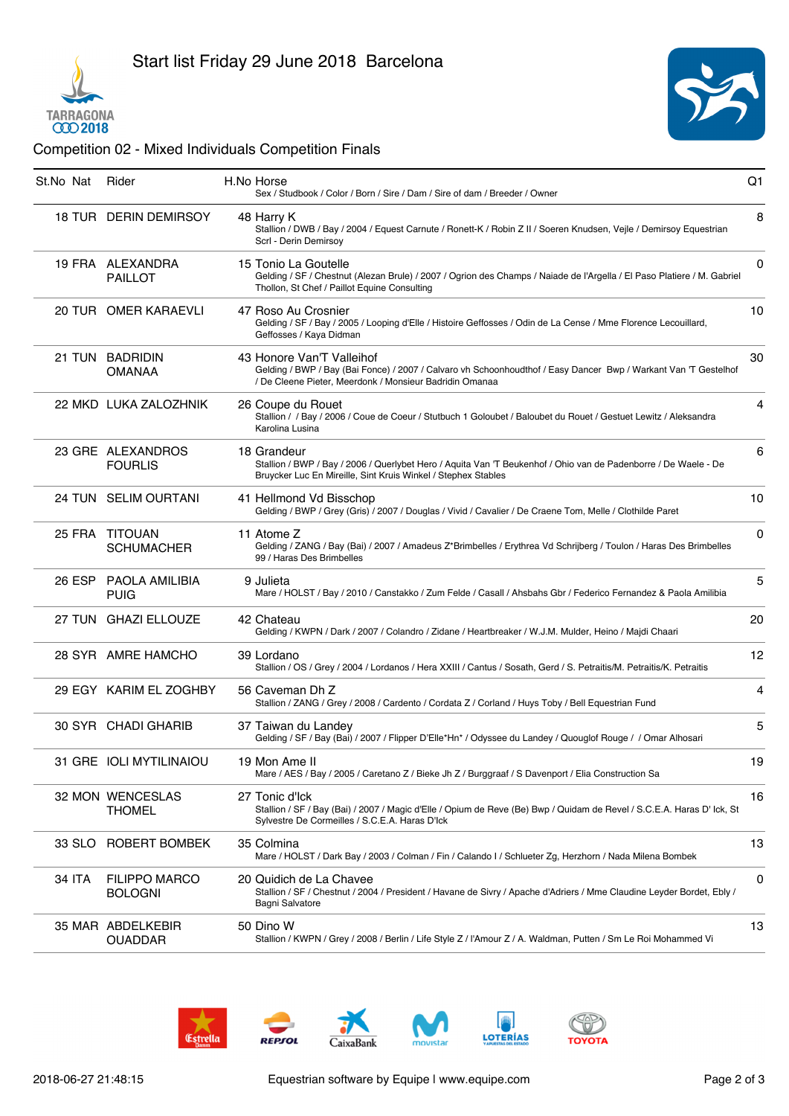



## Competition 02 - Mixed Individuals Competition Finals

| St.No Nat Rider |                                        | H.No Horse<br>Sex / Studbook / Color / Born / Sire / Dam / Sire of dam / Breeder / Owner                                                                                                                | Q <sub>1</sub> |
|-----------------|----------------------------------------|---------------------------------------------------------------------------------------------------------------------------------------------------------------------------------------------------------|----------------|
|                 | 18 TUR DERIN DEMIRSOY                  | 48 Harry K<br>Stallion / DWB / Bay / 2004 / Equest Carnute / Ronett-K / Robin Z II / Soeren Knudsen, Vejle / Demirsoy Equestrian<br>Scrl - Derin Demirsov                                               | 8              |
|                 | 19 FRA ALEXANDRA<br><b>PAILLOT</b>     | 15 Tonio La Goutelle<br>Gelding / SF / Chestnut (Alezan Brule) / 2007 / Ogrion des Champs / Naiade de l'Argella / El Paso Platiere / M. Gabriel<br>Thollon, St Chef / Paillot Equine Consulting         | 0              |
|                 | 20 TUR OMER KARAEVLI                   | 47 Roso Au Crosnier<br>Gelding / SF / Bay / 2005 / Looping d'Elle / Histoire Geffosses / Odin de La Cense / Mme Florence Lecouillard,<br>Geffosses / Kaya Didman                                        | 10             |
|                 | 21 TUN BADRIDIN<br><b>OMANAA</b>       | 43 Honore Van'T Valleihof<br>Gelding / BWP / Bay (Bai Fonce) / 2007 / Calvaro vh Schoonhoudthof / Easy Dancer Bwp / Warkant Van 'T Gestelhof<br>/ De Cleene Pieter, Meerdonk / Monsieur Badridin Omanaa | 30             |
|                 | 22 MKD LUKA ZALOZHNIK                  | 26 Coupe du Rouet<br>Stallion / / Bay / 2006 / Coue de Coeur / Stutbuch 1 Goloubet / Baloubet du Rouet / Gestuet Lewitz / Aleksandra<br>Karolina Lusina                                                 | 4              |
|                 | 23 GRE ALEXANDROS<br><b>FOURLIS</b>    | 18 Grandeur<br>Stallion / BWP / Bay / 2006 / Querlybet Hero / Aguita Van 'T Beukenhof / Ohio van de Padenborre / De Waele - De<br>Bruycker Luc En Mireille, Sint Kruis Winkel / Stephex Stables         | 6              |
|                 | 24 TUN SELIM OURTANI                   | 41 Hellmond Vd Bisschop<br>Gelding / BWP / Grey (Gris) / 2007 / Douglas / Vivid / Cavalier / De Craene Tom, Melle / Clothilde Paret                                                                     | 10             |
|                 | 25 FRA TITOUAN<br><b>SCHUMACHER</b>    | 11 Atome Z<br>Gelding / ZANG / Bay (Bai) / 2007 / Amadeus Z*Brimbelles / Erythrea Vd Schrijberg / Toulon / Haras Des Brimbelles<br>99 / Haras Des Brimbelles                                            | 0              |
|                 | 26 ESP PAOLA AMILIBIA<br>PUIG          | 9 Julieta<br>Mare / HOLST / Bay / 2010 / Canstakko / Zum Felde / Casall / Ahsbahs Gbr / Federico Fernandez & Paola Amilibia                                                                             | 5              |
|                 | 27 TUN GHAZI ELLOUZE                   | 42 Chateau<br>Gelding / KWPN / Dark / 2007 / Colandro / Zidane / Heartbreaker / W.J.M. Mulder, Heino / Majdi Chaari                                                                                     | 20             |
|                 | 28 SYR AMRE HAMCHO                     | 39 Lordano<br>Stallion / OS / Grey / 2004 / Lordanos / Hera XXIII / Cantus / Sosath, Gerd / S. Petraitis/M. Petraitis/K. Petraitis                                                                      | 12             |
|                 | 29 EGY KARIM EL ZOGHBY                 | 56 Caveman Dh Z<br>Stallion / ZANG / Grey / 2008 / Cardento / Cordata Z / Corland / Huys Toby / Bell Equestrian Fund                                                                                    | 4              |
|                 | 30 SYR CHADI GHARIB                    | 37 Taiwan du Landey<br>Gelding / SF / Bay (Bai) / 2007 / Flipper D'Elle*Hn* / Odyssee du Landey / Quouglof Rouge / / Omar Alhosari                                                                      | 5              |
|                 | 31 GRE IOLI MYTILINAIOU                | 19 Mon Ame II<br>Mare / AES / Bay / 2005 / Caretano Z / Bieke Jh Z / Burggraaf / S Davenport / Elia Construction Sa                                                                                     | 19             |
|                 | 32 MON WENCESLAS<br><b>THOMEL</b>      | 27 Tonic d'Ick<br>Stallion / SF / Bay (Bai) / 2007 / Magic d'Elle / Opium de Reve (Be) Bwp / Quidam de Revel / S.C.E.A. Haras D' Ick, St<br>Sylvestre De Cormeilles / S.C.E.A. Haras D'Ick              | 16             |
| 33 SLO          | ROBERT BOMBEK                          | 35 Colmina<br>Mare / HOLST / Dark Bay / 2003 / Colman / Fin / Calando I / Schlueter Zg, Herzhorn / Nada Milena Bombek                                                                                   | 13             |
| 34 ITA          | <b>FILIPPO MARCO</b><br><b>BOLOGNI</b> | 20 Quidich de La Chavee<br>Stallion / SF / Chestnut / 2004 / President / Havane de Sivry / Apache d'Adriers / Mme Claudine Leyder Bordet, Ebly /<br>Bagni Salvatore                                     | 0              |
|                 | 35 MAR ABDELKEBIR<br><b>OUADDAR</b>    | 50 Dino W<br>Stallion / KWPN / Grey / 2008 / Berlin / Life Style Z / l'Amour Z / A. Waldman, Putten / Sm Le Roi Mohammed Vi                                                                             | 13             |
|                 |                                        |                                                                                                                                                                                                         |                |









LOTERÍAS